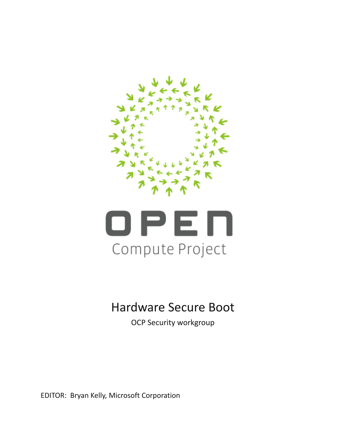



# Hardware Secure Boot

OCP Security workgroup

EDITOR: Bryan Kelly, Microsoft Corporation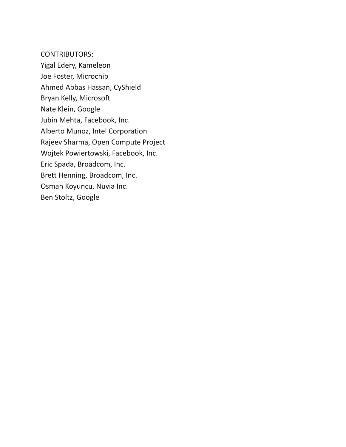CONTRIBUTORS: Yigal Edery, Kameleon Joe Foster, Microchip Ahmed Abbas Hassan, CyShield Bryan Kelly, Microsoft Nate Klein, Google Jubin Mehta, Facebook, Inc. Alberto Munoz, Intel Corporation Rajeev Sharma, Open Compute Project Wojtek Powiertowski, Facebook, Inc. Eric Spada, Broadcom, Inc. Brett Henning, Broadcom, Inc. Osman Koyuncu, Nuvia Inc. Ben Stoltz, Google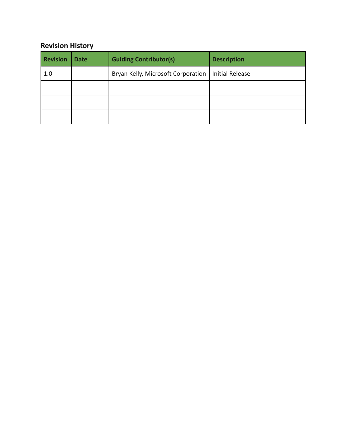### **Revision History**

| <b>Revision</b> | <b>Date</b> | <b>Guiding Contributor(s)</b>      | <b>Description</b>     |
|-----------------|-------------|------------------------------------|------------------------|
| 1.0             |             | Bryan Kelly, Microsoft Corporation | <b>Initial Release</b> |
|                 |             |                                    |                        |
|                 |             |                                    |                        |
|                 |             |                                    |                        |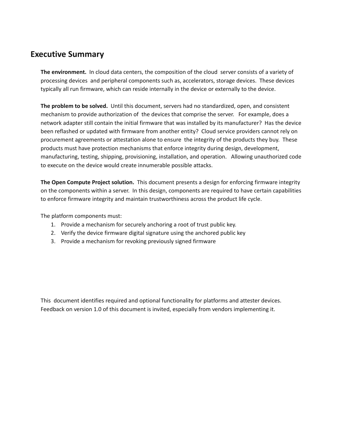### <span id="page-3-0"></span>**Executive Summary**

**The environment.** In cloud data centers, the composition of the cloud server consists of a variety of processing devices and peripheral components such as, accelerators, storage devices. These devices typically all run firmware, which can reside internally in the device or externally to the device.

**The problem to be solved.** Until this document, servers had no standardized, open, and consistent mechanism to provide authorization of the devices that comprise the server. For example, does a network adapter still contain the initial firmware that was installed by its manufacturer? Has the device been reflashed or updated with firmware from another entity? Cloud service providers cannot rely on procurement agreements or attestation alone to ensure the integrity of the products they buy. These products must have protection mechanisms that enforce integrity during design, development, manufacturing, testing, shipping, provisioning, installation, and operation. Allowing unauthorized code to execute on the device would create innumerable possible attacks.

**The Open Compute Project solution.** This document presents a design for enforcing firmware integrity on the components within a server. In this design, components are required to have certain capabilities to enforce firmware integrity and maintain trustworthiness across the product life cycle.

The platform components must:

- 1. Provide a mechanism for securely anchoring a root of trust public key.
- 2. Verify the device firmware digital signature using the anchored public key
- 3. Provide a mechanism for revoking previously signed firmware

This document identifies required and optional functionality for platforms and attester devices. Feedback on version 1.0 of this document is invited, especially from vendors implementing it.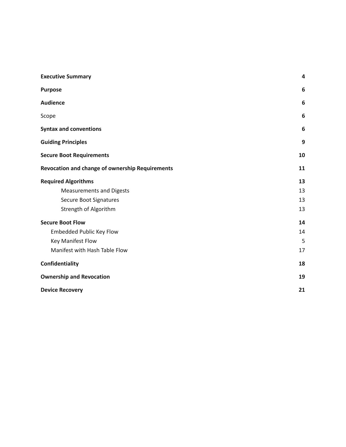| <b>Executive Summary</b>                               | 4  |  |
|--------------------------------------------------------|----|--|
| <b>Purpose</b>                                         | 6  |  |
| <b>Audience</b>                                        | 6  |  |
| Scope                                                  | 6  |  |
| <b>Syntax and conventions</b>                          | 6  |  |
| <b>Guiding Principles</b>                              | 9  |  |
| <b>Secure Boot Requirements</b>                        | 10 |  |
| <b>Revocation and change of ownership Requirements</b> | 11 |  |
| <b>Required Algorithms</b>                             | 13 |  |
| <b>Measurements and Digests</b>                        | 13 |  |
| Secure Boot Signatures                                 | 13 |  |
| Strength of Algorithm                                  | 13 |  |
| <b>Secure Boot Flow</b>                                | 14 |  |
| <b>Embedded Public Key Flow</b>                        | 14 |  |
| Key Manifest Flow                                      | 5  |  |
| Manifest with Hash Table Flow                          | 17 |  |
| Confidentiality                                        |    |  |
| <b>Ownership and Revocation</b>                        |    |  |
| <b>Device Recovery</b>                                 |    |  |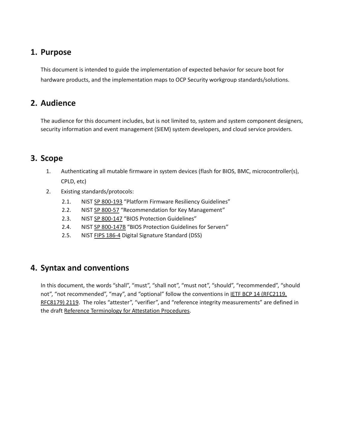## <span id="page-5-0"></span>**1. Purpose**

This document is intended to guide the implementation of expected behavior for secure boot for hardware products, and the implementation maps to OCP Security workgroup standards/solutions.

## <span id="page-5-1"></span>**2. Audience**

The audience for this document includes, but is not limited to, system and system component designers, security information and event management (SIEM) system developers, and cloud service providers.

### <span id="page-5-2"></span>**3. Scope**

- 1. Authenticating all mutable firmware in system devices (flash for BIOS, BMC, microcontroller(s), CPLD, etc)
- 2. Existing standards/protocols:
	- 2.1. NIST SP [800-193](https://nvlpubs.nist.gov/nistpubs/SpecialPublications/NIST.SP.800-193.pdf) "Platform Firmware Resiliency Guidelines"
	- 2.2. NIST SP [800-57](https://nvlpubs.nist.gov/nistpubs/SpecialPublications/NIST.SP.800-57pt1r5.pdf) "Recommendation for Key Management"
	- 2.3. NIST SP [800-147](https://nvlpubs.nist.gov/nistpubs/Legacy/SP/nistspecialpublication800-147.pdf) "BIOS Protection Guidelines"
	- 2.4. NIST SP [800-147B](https://nvlpubs.nist.gov/nistpubs/SpecialPublications/NIST.SP.800-147B.pdf) "BIOS Protection Guidelines for Servers"
	- 2.5. NIST FIPS [186-4](https://nvlpubs.nist.gov/nistpubs/fips/nist.fips.186-4.pdf) Digital Signature Standard (DSS)

### <span id="page-5-3"></span>**4. Syntax and conventions**

In this document, the words "shall", "must", "shall not", "must not", "should", "recommended", "should not", "not recommended", "may", and "optional" follow the conventions in **IETF BCP 14 (RFC2119**, [RFC8179\)](https://www.rfc-editor.org/info/bcp14) 2119. The roles "attester", "verifier", and "reference integrity measurements" are defined in the draft Reference [Terminology](https://github.com/henkbirkholz/draft-birkholz-attestation-terminology) for Attestation Procedures.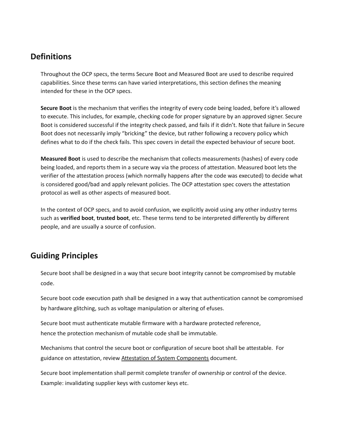# **Definitions**

Throughout the OCP specs, the terms Secure Boot and Measured Boot are used to describe required capabilities. Since these terms can have varied interpretations, this section defines the meaning intended for these in the OCP specs.

**Secure Boot** is the mechanism that verifies the integrity of every code being loaded, before it's allowed to execute. This includes, for example, checking code for proper signature by an approved signer. Secure Boot is considered successful if the integrity check passed, and fails if it didn't. Note that failure in Secure Boot does not necessarily imply "bricking" the device, but rather following a recovery policy which defines what to do if the check fails. This spec covers in detail the expected behaviour of secure boot.

**Measured Boot** is used to describe the mechanism that collects measurements (hashes) of every code being loaded, and reports them in a secure way via the process of attestation. Measured boot lets the verifier of the attestation process (which normally happens after the code was executed) to decide what is considered good/bad and apply relevant policies. The OCP attestation spec covers the attestation protocol as well as other aspects of measured boot.

In the context of OCP specs, and to avoid confusion, we explicitly avoid using any other industry terms such as **verified boot**, **trusted boot**, etc. These terms tend to be interpreted differently by different people, and are usually a source of confusion.

# **Guiding Principles**

Secure boot shall be designed in a way that secure boot integrity cannot be compromised by mutable code.

Secure boot code execution path shall be designed in a way that authentication cannot be compromised by hardware glitching, such as voltage manipulation or altering of efuses.

Secure boot must authenticate mutable firmware with a hardware protected reference, hence the protection mechanism of mutable code shall be immutable.

Mechanisms that control the secure boot or configuration of secure boot shall be attestable. For guidance on attestation, review Attestation of System [Components](https://docs.google.com/document/d/1fzBnA6N9vGYj--Mxit9Whp0TPPyGqgOyBlHdgCN9F_Q) document.

Secure boot implementation shall permit complete transfer of ownership or control of the device. Example: invalidating supplier keys with customer keys etc.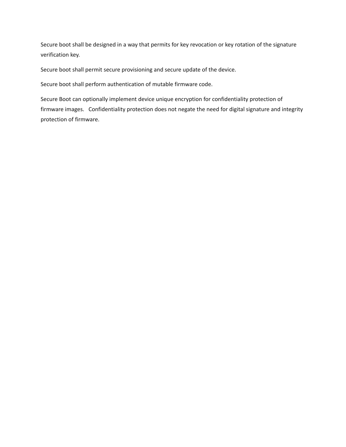Secure boot shall be designed in a way that permits for key revocation or key rotation of the signature verification key.

Secure boot shall permit secure provisioning and secure update of the device.

Secure boot shall perform authentication of mutable firmware code.

Secure Boot can optionally implement device unique encryption for confidentiality protection of firmware images. Confidentiality protection does not negate the need for digital signature and integrity protection of firmware.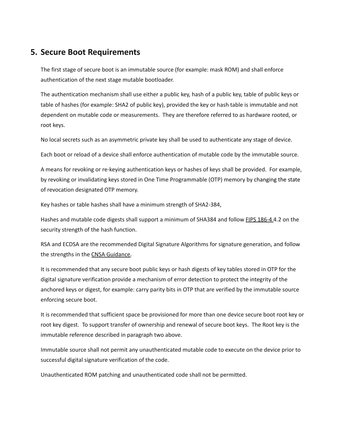### <span id="page-8-0"></span>**5. Secure Boot Requirements**

The first stage of secure boot is an immutable source (for example: mask ROM) and shall enforce authentication of the next stage mutable bootloader.

The authentication mechanism shall use either a public key, hash of a public key, table of public keys or table of hashes (for example: SHA2 of public key), provided the key or hash table is immutable and not dependent on mutable code or measurements. They are therefore referred to as hardware rooted, or root keys.

No local secrets such as an asymmetric private key shall be used to authenticate any stage of device.

Each boot or reload of a device shall enforce authentication of mutable code by the immutable source.

A means for revoking or re-keying authentication keys or hashes of keys shall be provided. For example, by revoking or invalidating keys stored in One Time Programmable (OTP) memory by changing the state of revocation designated OTP memory.

Key hashes or table hashes shall have a minimum strength of SHA2-384,

Hashes and mutable code digests shall support a minimum of SHA384 and follow FIPS [186-4](https://nvlpubs.nist.gov/nistpubs/FIPS/NIST.FIPS.186-4.pdf) 4.2 on the security strength of the hash function.

RSA and ECDSA are the recommended Digital Signature Algorithms for signature generation, and follow the strengths in the CNSA [Guidance.](https://apps.nsa.gov/iaarchive/programs/iad-initiatives/cnsa-suite.cfm)

It is recommended that any secure boot public keys or hash digests of key tables stored in OTP for the digital signature verification provide a mechanism of error detection to protect the integrity of the anchored keys or digest, for example: carry parity bits in OTP that are verified by the immutable source enforcing secure boot.

It is recommended that sufficient space be provisioned for more than one device secure boot root key or root key digest. To support transfer of ownership and renewal of secure boot keys. The Root key is the immutable reference described in paragraph two above.

Immutable source shall not permit any unauthenticated mutable code to execute on the device prior to successful digital signature verification of the code.

Unauthenticated ROM patching and unauthenticated code shall not be permitted.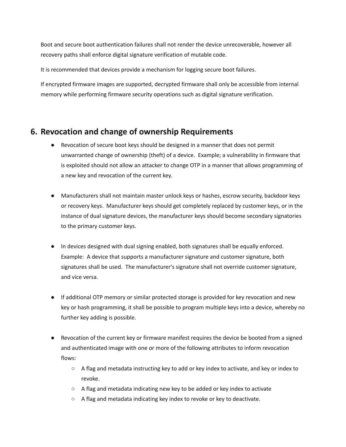Boot and secure boot authentication failures shall not render the device unrecoverable, however all recovery paths shall enforce digital signature verification of mutable code.

It is recommended that devices provide a mechanism for logging secure boot failures.

If encrypted firmware images are supported, decrypted firmware shall only be accessible from internal memory while performing firmware security operations such as digital signature verification.

### <span id="page-9-0"></span>**6. Revocation and change of ownership Requirements**

- Revocation of secure boot keys should be designed in a manner that does not permit unwarranted change of ownership (theft) of a device. Example; a vulnerability in firmware that is exploited should not allow an attacker to change OTP in a manner that allows programming of a new key and revocation of the current key.
- Manufacturers shall not maintain master unlock keys or hashes, escrow security, backdoor keys or recovery keys. Manufacturer keys should get completely replaced by customer keys, or in the instance of dual signature devices, the manufacturer keys should become secondary signatories to the primary customer keys.
- In devices designed with dual signing enabled, both signatures shall be equally enforced. Example: A device that supports a manufacturer signature and customer signature, both signatures shall be used. The manufacturer's signature shall not override customer signature, and vice versa.
- If additional OTP memory or similar protected storage is provided for key revocation and new key or hash programming, it shall be possible to program multiple keys into a device, whereby no further key adding is possible.
- Revocation of the current key or firmware manifest requires the device be booted from a signed and authenticated image with one or more of the following attributes to inform revocation flows:
	- A flag and metadata instructing key to add or key index to activate, and key or index to revoke.
	- $\circ$  A flag and metadata indicating new key to be added or key index to activate
	- A flag and metadata indicating key index to revoke or key to deactivate.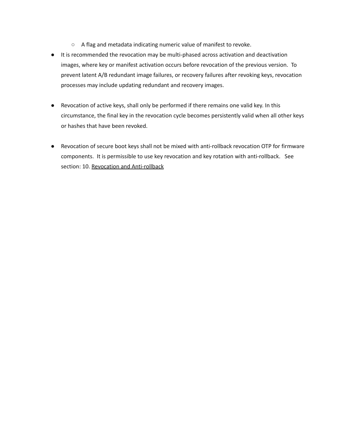- A flag and metadata indicating numeric value of manifest to revoke.
- It is recommended the revocation may be multi-phased across activation and deactivation images, where key or manifest activation occurs before revocation of the previous version. To prevent latent A/B redundant image failures, or recovery failures after revoking keys, revocation processes may include updating redundant and recovery images.
- Revocation of active keys, shall only be performed if there remains one valid key. In this circumstance, the final key in the revocation cycle becomes persistently valid when all other keys or hashes that have been revoked.
- Revocation of secure boot keys shall not be mixed with anti-rollback revocation OTP for firmware components. It is permissible to use key revocation and key rotation with anti-rollback. See section: 10. Revocation and [Anti-rollback](#page-17-0)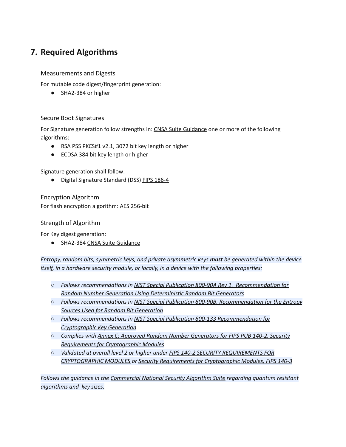# <span id="page-11-0"></span>**7. Required Algorithms**

<span id="page-11-1"></span>Measurements and Digests

For mutable code digest/fingerprint generation:

● SHA2-384 or higher

#### <span id="page-11-2"></span>Secure Boot Signatures

For Signature generation follow strengths in: CNSA Suite [Guidance](https://apps.nsa.gov/iaarchive/programs/iad-initiatives/cnsa-suite.cfm) one or more of the following algorithms:

- RSA PSS PKCS#1 v2.1, 3072 bit key length or higher
- ECDSA 384 bit key length or higher

Signature generation shall follow:

● Digital Signature Standard (DSS) FIPS [186-4](https://nvlpubs.nist.gov/nistpubs/FIPS/NIST.FIPS.186-4.pdf)

Encryption Algorithm For flash encryption algorithm: AES 256-bit

<span id="page-11-3"></span>Strength of Algorithm

For Key digest generation:

● SHA2-384 CNSA Suite [Guidance](https://apps.nsa.gov/iaarchive/programs/iad-initiatives/cnsa-suite.cfm)

*Entropy, random bits, symmetric keys, and private asymmetric keys must be generated within the device itself, in a hardware security module, or locally, in a device with the following properties:*

- *○ Follows recommendations in NIST Special Publication 800-90A Rev 1, [Recommendation](http://dx.doi.org/10.6028/NIST.SP.800-90Ar1) for Random Number Generation Using [Deterministic](http://dx.doi.org/10.6028/NIST.SP.800-90Ar1) Random Bit Generators*
- *○ Follows recommendations in NIST Special Publication 800-90B, [Recommendation](https://nvlpubs.nist.gov/nistpubs/SpecialPublications/NIST.SP.800-90B.pdf) for the Entropy Sources Used for Random Bit [Generation](https://nvlpubs.nist.gov/nistpubs/SpecialPublications/NIST.SP.800-90B.pdf)*
- *○ Follows recommendations in NIST Special Publication 800-133 [Recommendation](https://nvlpubs.nist.gov/nistpubs/SpecialPublications/NIST.SP.800-133.pdf) for [Cryptographic](https://nvlpubs.nist.gov/nistpubs/SpecialPublications/NIST.SP.800-133.pdf) Key Generation*
- *○ Complies with Annex C: Approved Random Number [Generators](https://csrc.nist.gov/CSRC/media//Publications/fips/140/2/final/documents/fips1402annexc.pdf) for FIPS PUB 140-2, Security Requirements for [Cryptographic](https://csrc.nist.gov/CSRC/media//Publications/fips/140/2/final/documents/fips1402annexc.pdf) Modules*
- *○ Validated at overall level 2 or higher under FIPS 140-2 SECURITY [REQUIREMENTS](https://nvlpubs.nist.gov/nistpubs/FIPS/NIST.FIPS.140-2.pdf) FOR [CRYPTOGRAPHIC](https://nvlpubs.nist.gov/nistpubs/FIPS/NIST.FIPS.140-2.pdf) MODULES or Security Requirements for [Cryptographic](https://nvlpubs.nist.gov/nistpubs/FIPS/NIST.FIPS.140-3.pdf) Modules, FIPS 140-3*

*Follows the guidance in the [Commercial](https://apps.nsa.gov/iaarchive/programs/iad-initiatives/cnsa-suite.cfm) National Security Algorithm Suite regarding quantum resistant algorithms and key sizes.*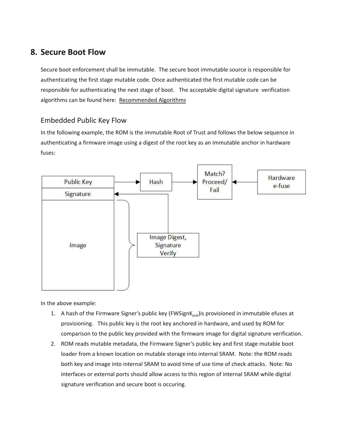## <span id="page-12-0"></span>**8. Secure Boot Flow**

Secure boot enforcement shall be immutable. The secure boot immutable source is responsible for authenticating the first stage mutable code. Once authenticated the first mutable code can be responsible for authenticating the next stage of boot. The acceptable digital signature verification algorithms can be found here: [Recommended](#page-11-0) Algorithms

#### <span id="page-12-1"></span>Embedded Public Key Flow

In the following example, the ROM is the immutable Root of Trust and follows the below sequence in authenticating a firmware image using a digest of the root key as an immutable anchor in hardware fuses:



In the above example:

- 1. A hash of the Firmware Signer's public key (FWSignK<sub>pub</sub>)is provisioned in immutable efuses at provisioning. This public key is the root key anchored in hardware, and used by ROM for comparison to the public key provided with the firmware image for digital signature verification.
- 2. ROM reads mutable metadata, the Firmware Signer's public key and first stage mutable boot loader from a known location on mutable storage into internal SRAM. Note: the ROM reads both key and image into internal SRAM to avoid time of use time of check attacks. Note: No interfaces or external ports should allow access to this region of internal SRAM while digital signature verification and secure boot is occuring.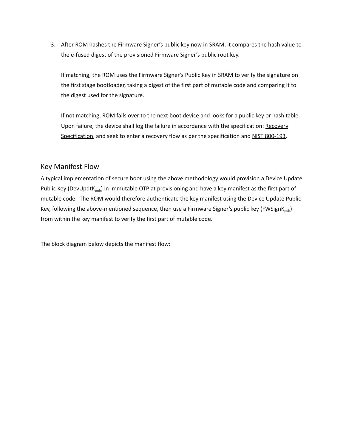3. After ROM hashes the Firmware Signer's public key now in SRAM, it compares the hash value to the e-fused digest of the provisioned Firmware Signer's public root key.

If matching; the ROM uses the Firmware Signer's Public Key in SRAM to verify the signature on the first stage bootloader, taking a digest of the first part of mutable code and comparing it to the digest used for the signature.

If not matching, ROM fails over to the next boot device and looks for a public key or hash table. Upon failure, the device shall log the failure in accordance with the specification: [Recovery](https://docs.google.com/document/d/1lCUGMOTLtIUrvgkCdwQgz570-ZEKSXimsagFPjBYCYc/edit#heading=h.slco0rjeyu1e) [Specification,](https://docs.google.com/document/d/1lCUGMOTLtIUrvgkCdwQgz570-ZEKSXimsagFPjBYCYc/edit#heading=h.slco0rjeyu1e) and seek to enter a recovery flow as per the specification and NIST [800-193.](https://nvlpubs.nist.gov/nistpubs/SpecialPublications/NIST.SP.800-193.pdf)

#### <span id="page-13-0"></span>Key Manifest Flow

A typical implementation of secure boot using the above methodology would provision a Device Update Public Key (DevUpdtK<sub>pub</sub>) in immutable OTP at provisioning and have a key manifest as the first part of mutable code. The ROM would therefore authenticate the key manifest using the Device Update Public Key, following the above-mentioned sequence, then use a Firmware Signer's public key (FWSignK<sub>pub</sub>) from within the key manifest to verify the first part of mutable code.

The block diagram below depicts the manifest flow: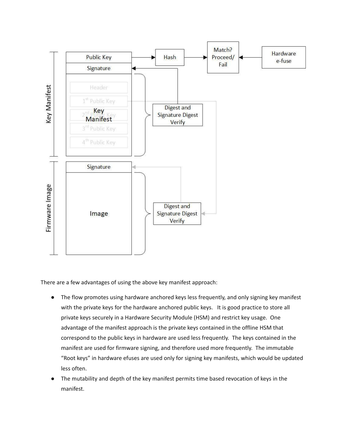

There are a few advantages of using the above key manifest approach:

- The flow promotes using hardware anchored keys less frequently, and only signing key manifest with the private keys for the hardware anchored public keys. It is good practice to store all private keys securely in a Hardware Security Module (HSM) and restrict key usage. One advantage of the manifest approach is the private keys contained in the offline HSM that correspond to the public keys in hardware are used less frequently. The keys contained in the manifest are used for firmware signing, and therefore used more frequently. The immutable "Root keys" in hardware efuses are used only for signing key manifests, which would be updated less often.
- The mutability and depth of the key manifest permits time based revocation of keys in the manifest.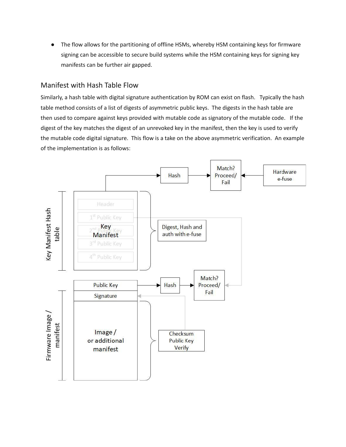● The flow allows for the partitioning of offline HSMs, whereby HSM containing keys for firmware signing can be accessible to secure build systems while the HSM containing keys for signing key manifests can be further air gapped.

#### <span id="page-15-0"></span>Manifest with Hash Table Flow

Similarly, a hash table with digital signature authentication by ROM can exist on flash. Typically the hash table method consists of a list of digests of asymmetric public keys. The digests in the hash table are then used to compare against keys provided with mutable code as signatory of the mutable code. If the digest of the key matches the digest of an unrevoked key in the manifest, then the key is used to verify the mutable code digital signature. This flow is a take on the above asymmetric verification. An example of the implementation is as follows:

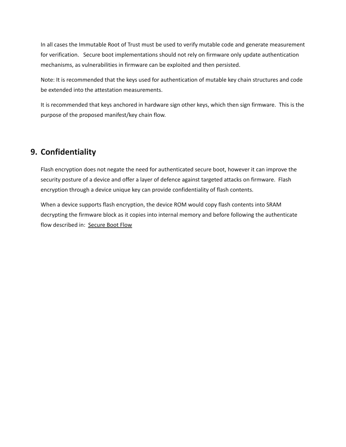In all cases the Immutable Root of Trust must be used to verify mutable code and generate measurement for verification. Secure boot implementations should not rely on firmware only update authentication mechanisms, as vulnerabilities in firmware can be exploited and then persisted.

Note: It is recommended that the keys used for authentication of mutable key chain structures and code be extended into the attestation measurements.

It is recommended that keys anchored in hardware sign other keys, which then sign firmware. This is the purpose of the proposed manifest/key chain flow.

# <span id="page-16-0"></span>**9. Confidentiality**

Flash encryption does not negate the need for authenticated secure boot, however it can improve the security posture of a device and offer a layer of defence against targeted attacks on firmware. Flash encryption through a device unique key can provide confidentiality of flash contents.

When a device supports flash encryption, the device ROM would copy flash contents into SRAM decrypting the firmware block as it copies into internal memory and before following the authenticate flow described in: [Secure](#page-12-0) Boot Flow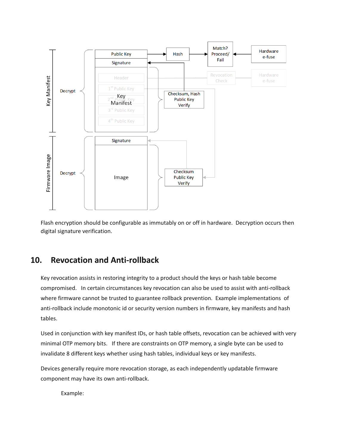

Flash encryption should be configurable as immutably on or off in hardware. Decryption occurs then digital signature verification.

### <span id="page-17-0"></span>**10. Revocation and Anti-rollback**

Key revocation assists in restoring integrity to a product should the keys or hash table become compromised. In certain circumstances key revocation can also be used to assist with anti-rollback where firmware cannot be trusted to guarantee rollback prevention. Example implementations of anti-rollback include monotonic id or security version numbers in firmware, key manifests and hash tables.

Used in conjunction with key manifest IDs, or hash table offsets, revocation can be achieved with very minimal OTP memory bits. If there are constraints on OTP memory, a single byte can be used to invalidate 8 different keys whether using hash tables, individual keys or key manifests.

Devices generally require more revocation storage, as each independently updatable firmware component may have its own anti-rollback.

Example: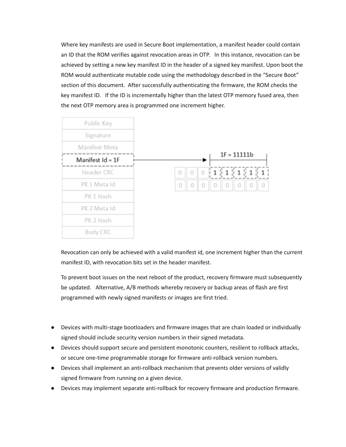Where key manifests are used in Secure Boot implementation, a manifest header could contain an ID that the ROM verifies against revocation areas in OTP. In this instance, revocation can be achieved by setting a new key manifest ID in the header of a signed key manifest. Upon boot the ROM would authenticate mutable code using the methodology described in the "Secure Boot" section of this document. After successfully authenticating the firmware, the ROM checks the key manifest ID. If the ID is incrementally higher than the latest OTP memory fused area, then the next OTP memory area is programmed one increment higher.



Revocation can only be achieved with a valid manifest id, one increment higher than the current manifest ID, with revocation bits set in the header manifest.

To prevent boot issues on the next reboot of the product, recovery firmware must subsequently be updated. Alternative, A/B methods whereby recovery or backup areas of flash are first programmed with newly signed manifests or images are first tried.

- Devices with multi-stage bootloaders and firmware images that are chain loaded or individually signed should include security version numbers in their signed metadata.
- Devices should support secure and persistent monotonic counters, resilient to rollback attacks, or secure one-time programmable storage for firmware anti-rollback version numbers.
- Devices shall implement an anti-rollback mechanism that prevents older versions of validly signed firmware from running on a given device.
- Devices may implement separate anti-rollback for recovery firmware and production firmware.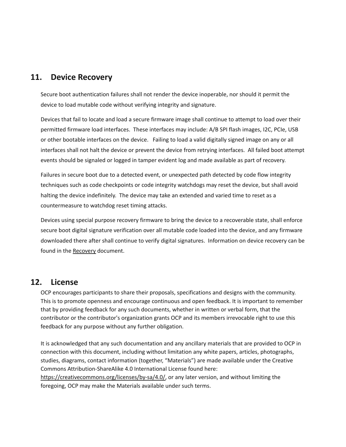### <span id="page-19-0"></span>**11. Device Recovery**

Secure boot authentication failures shall not render the device inoperable, nor should it permit the device to load mutable code without verifying integrity and signature.

Devices that fail to locate and load a secure firmware image shall continue to attempt to load over their permitted firmware load interfaces. These interfaces may include: A/B SPI flash images, I2C, PCIe, USB or other bootable interfaces on the device. Failing to load a valid digitally signed image on any or all interfaces shall not halt the device or prevent the device from retrying interfaces. All failed boot attempt events should be signaled or logged in tamper evident log and made available as part of recovery.

Failures in secure boot due to a detected event, or unexpected path detected by code flow integrity techniques such as code checkpoints or code integrity watchdogs may reset the device, but shall avoid halting the device indefinitely. The device may take an extended and varied time to reset as a countermeasure to watchdog reset timing attacks.

Devices using special purpose recovery firmware to bring the device to a recoverable state, shall enforce secure boot digital signature verification over all mutable code loaded into the device, and any firmware downloaded there after shall continue to verify digital signatures. Information on device recovery can be found in the [Recovery](https://docs.google.com/document/d/1lCUGMOTLtIUrvgkCdwQgz570-ZEKSXimsagFPjBYCYc/edit#) document.

### **12. License**

OCP encourages participants to share their proposals, specifications and designs with the community. This is to promote openness and encourage continuous and open feedback. It is important to remember that by providing feedback for any such documents, whether in written or verbal form, that the contributor or the contributor's organization grants OCP and its members irrevocable right to use this feedback for any purpose without any further obligation.

It is acknowledged that any such documentation and any ancillary materials that are provided to OCP in connection with this document, including without limitation any white papers, articles, photographs, studies, diagrams, contact information (together, "Materials") are made available under the Creative Commons Attribution-ShareAlike 4.0 International License found here: [https://creativecommons.org/licenses/by-sa/4.0/,](https://urldefense.proofpoint.com/v2/url?u=https-3A__creativecommons.org_licenses_by-2Dsa_4.0_&d=DwMFaQ&c=jf_iaSHvJObTbx-siA1ZOg&r=BqFCxDNyAJevHgEgYwZw0rORaVubZcDFycdZwrbjoCM&m=aUYQryq43waZK3h9DIgMN14XrhMhbo_6Ht75yJW-Q8U&s=RhUxk6cjNzY_kGHJDCD2C7NRTSjWqbkWY5_Uw5aOKqs&e=) or any later version, and without limiting the foregoing, OCP may make the Materials available under such terms.